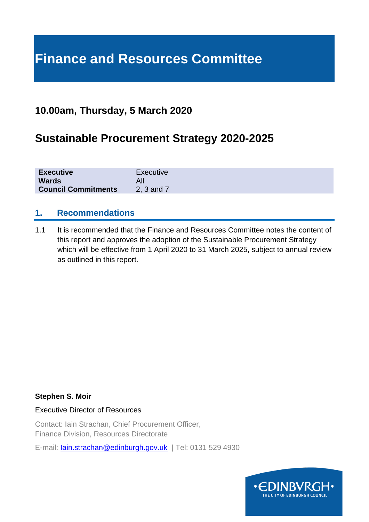# **Finance and Resources Committee**

## **10.00am, Thursday, 5 March 2020**

# **Sustainable Procurement Strategy 2020-2025**

| <b>Executive</b>           | Executive  |
|----------------------------|------------|
| <b>Wards</b>               |            |
| <b>Council Commitments</b> | 2, 3 and 7 |

### **1. Recommendations**

1.1 It is recommended that the Finance and Resources Committee notes the content of this report and approves the adoption of the Sustainable Procurement Strategy which will be effective from 1 April 2020 to 31 March 2025, subject to annual review as outlined in this report.

### **Stephen S. Moir**

Executive Director of Resources

Contact: Iain Strachan, Chief Procurement Officer, Finance Division, Resources Directorate

E-mail: [Iain.strachan@edinburgh.gov.uk](mailto:Iain.strachan@edinburgh.gov.uk) | Tel: 0131 529 4930

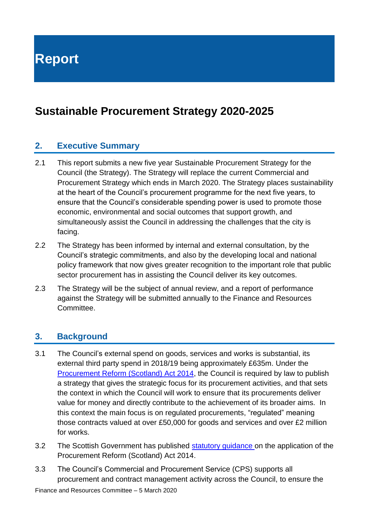**Report**

# **Sustainable Procurement Strategy 2020-2025**

## **2. Executive Summary**

- 2.1 This report submits a new five year Sustainable Procurement Strategy for the Council (the Strategy). The Strategy will replace the current Commercial and Procurement Strategy which ends in March 2020. The Strategy places sustainability at the heart of the Council's procurement programme for the next five years, to ensure that the Council's considerable spending power is used to promote those economic, environmental and social outcomes that support growth, and simultaneously assist the Council in addressing the challenges that the city is facing.
- 2.2 The Strategy has been informed by internal and external consultation, by the Council's strategic commitments, and also by the developing local and national policy framework that now gives greater recognition to the important role that public sector procurement has in assisting the Council deliver its key outcomes.
- 2.3 The Strategy will be the subject of annual review, and a report of performance against the Strategy will be submitted annually to the Finance and Resources Committee.

## **3. Background**

- 3.1 The Council's external spend on goods, services and works is substantial, its external third party spend in 2018/19 being approximately £635m. Under the [Procurement Reform \(Scotland\) Act 2014,](http://www.legislation.gov.uk/asp/2014/12/contents) the Council is required by law to publish a strategy that gives the strategic focus for its procurement activities, and that sets the context in which the Council will work to ensure that its procurements deliver value for money and directly contribute to the achievement of its broader aims. In this context the main focus is on regulated procurements, "regulated" meaning those contracts valued at over £50,000 for goods and services and over £2 million for works.
- 3.2 The Scottish Government has published [statutory guidance](https://www.gov.scot/publications/guidance-under-procurement-reform-scotland-act-2014/pages/1/) on the application of the Procurement Reform (Scotland) Act 2014.
- 3.3 The Council's Commercial and Procurement Service (CPS) supports all procurement and contract management activity across the Council, to ensure the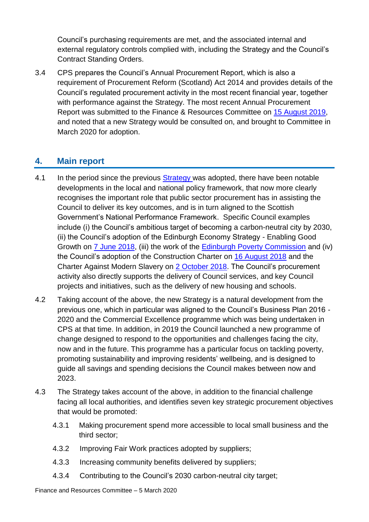Council's purchasing requirements are met, and the associated internal and external regulatory controls complied with, including the Strategy and the Council's Contract Standing Orders.

3.4 CPS prepares the Council's Annual Procurement Report, which is also a requirement of Procurement Reform (Scotland) Act 2014 and provides details of the Council's regulated procurement activity in the most recent financial year, together with performance against the Strategy. The most recent Annual Procurement Report was submitted to the Finance & Resources Committee on [15 August 2019,](https://democracy.edinburgh.gov.uk/documents/s4709/7.11%20-%20Commercial%20and%20Procurement%20Annual%20Report%202019_Approved.pdf) and noted that a new Strategy would be consulted on, and brought to Committee in March 2020 for adoption.

## **4. Main report**

- 4.1 In the period since the previous [Strategy](https://democracy.edinburgh.gov.uk/Data/Finance%20and%20Resources%20Committee/20161201/Agenda/item_74_commercial_and_procurement_strategy.pdf) was adopted, there have been notable developments in the local and national policy framework, that now more clearly recognises the important role that public sector procurement has in assisting the Council to deliver its key outcomes, and is in turn aligned to the Scottish Government's National Performance Framework. Specific Council examples include (i) the Council's ambitious target of becoming a carbon-neutral city by 2030, (ii) the Council's adoption of the Edinburgh Economy Strategy - Enabling Good Growth on [7 June 2018,](https://democracy.edinburgh.gov.uk/Data/Housing%20and%20Economy%20Committee/20180607/Agenda/item_71_-_edinburgh_economy_strategy.pdf) (iii) the work of the [Edinburgh Poverty Commission](https://edinburghpovertycommission.org.uk/poverty-in-edinburgh/) and (iv) the Council's adoption of the Construction Charter on [16 August 2018](https://democracy.edinburgh.gov.uk/Data/Finance%20and%20Resources%20Committee/20180816/Agenda/item_715_-_construction_charter.pdf) and the Charter Against Modern Slavery on [2 October 2018.](https://democracy.edinburgh.gov.uk/Data/Corporate%20Policy%20and%20Strategy%20Committee/20181002/Agenda/$item_82_-_charter_against_modern_slavery.xls.pdf) The Council's procurement activity also directly supports the delivery of Council services, and key Council projects and initiatives, such as the delivery of new housing and schools.
- 4.2 Taking account of the above, the new Strategy is a natural development from the previous one, which in particular was aligned to the Council's Business Plan 2016 - 2020 and the Commercial Excellence programme which was being undertaken in CPS at that time. In addition, in 2019 the Council launched a new programme of change designed to respond to the opportunities and challenges facing the city, now and in the future. This programme has a particular focus on tackling poverty, promoting sustainability and improving residents' wellbeing, and is designed to guide all savings and spending decisions the Council makes between now and 2023.
- 4.3 The Strategy takes account of the above, in addition to the financial challenge facing all local authorities, and identifies seven key strategic procurement objectives that would be promoted:
	- 4.3.1 Making procurement spend more accessible to local small business and the third sector;
	- 4.3.2 Improving Fair Work practices adopted by suppliers;
	- 4.3.3 Increasing community benefits delivered by suppliers;
	- 4.3.4 Contributing to the Council's 2030 carbon-neutral city target;

Finance and Resources Committee – 5 March 2020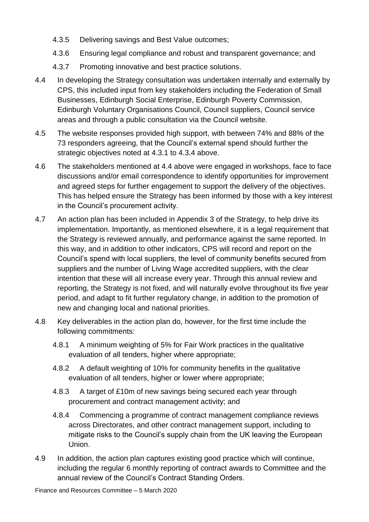- 4.3.5 Delivering savings and Best Value outcomes;
- 4.3.6 Ensuring legal compliance and robust and transparent governance; and
- 4.3.7 Promoting innovative and best practice solutions.
- 4.4 In developing the Strategy consultation was undertaken internally and externally by CPS, this included input from key stakeholders including the Federation of Small Businesses, Edinburgh Social Enterprise, Edinburgh Poverty Commission, Edinburgh Voluntary Organisations Council, Council suppliers, Council service areas and through a public consultation via the Council website.
- 4.5 The website responses provided high support, with between 74% and 88% of the 73 responders agreeing, that the Council's external spend should further the strategic objectives noted at 4.3.1 to 4.3.4 above.
- 4.6 The stakeholders mentioned at 4.4 above were engaged in workshops, face to face discussions and/or email correspondence to identify opportunities for improvement and agreed steps for further engagement to support the delivery of the objectives. This has helped ensure the Strategy has been informed by those with a key interest in the Council's procurement activity.
- 4.7 An action plan has been included in Appendix 3 of the Strategy, to help drive its implementation. Importantly, as mentioned elsewhere, it is a legal requirement that the Strategy is reviewed annually, and performance against the same reported. In this way, and in addition to other indicators, CPS will record and report on the Council's spend with local suppliers, the level of community benefits secured from suppliers and the number of Living Wage accredited suppliers, with the clear intention that these will all increase every year. Through this annual review and reporting, the Strategy is not fixed, and will naturally evolve throughout its five year period, and adapt to fit further regulatory change, in addition to the promotion of new and changing local and national priorities.
- 4.8 Key deliverables in the action plan do, however, for the first time include the following commitments:
	- 4.8.1 A minimum weighting of 5% for Fair Work practices in the qualitative evaluation of all tenders, higher where appropriate;
	- 4.8.2 A default weighting of 10% for community benefits in the qualitative evaluation of all tenders, higher or lower where appropriate;
	- 4.8.3 A target of £10m of new savings being secured each year through procurement and contract management activity; and
	- 4.8.4 Commencing a programme of contract management compliance reviews across Directorates, and other contract management support, including to mitigate risks to the Council's supply chain from the UK leaving the European Union.
- 4.9 In addition, the action plan captures existing good practice which will continue, including the regular 6 monthly reporting of contract awards to Committee and the annual review of the Council's Contract Standing Orders.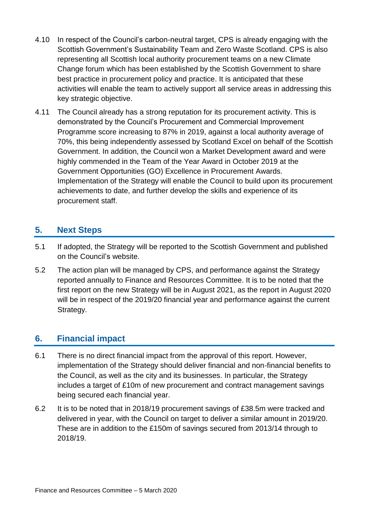- 4.10 In respect of the Council's carbon-neutral target, CPS is already engaging with the Scottish Government's Sustainability Team and Zero Waste Scotland. CPS is also representing all Scottish local authority procurement teams on a new Climate Change forum which has been established by the Scottish Government to share best practice in procurement policy and practice. It is anticipated that these activities will enable the team to actively support all service areas in addressing this key strategic objective.
- 4.11 The Council already has a strong reputation for its procurement activity. This is demonstrated by the Council's Procurement and Commercial Improvement Programme score increasing to 87% in 2019, against a local authority average of 70%, this being independently assessed by Scotland Excel on behalf of the Scottish Government. In addition, the Council won a Market Development award and were highly commended in the Team of the Year Award in October 2019 at the Government Opportunities (GO) Excellence in Procurement Awards. Implementation of the Strategy will enable the Council to build upon its procurement achievements to date, and further develop the skills and experience of its procurement staff.

## **5. Next Steps**

- 5.1 If adopted, the Strategy will be reported to the Scottish Government and published on the Council's website.
- 5.2 The action plan will be managed by CPS, and performance against the Strategy reported annually to Finance and Resources Committee. It is to be noted that the first report on the new Strategy will be in August 2021, as the report in August 2020 will be in respect of the 2019/20 financial year and performance against the current Strategy.

## **6. Financial impact**

- 6.1 There is no direct financial impact from the approval of this report. However, implementation of the Strategy should deliver financial and non-financial benefits to the Council, as well as the city and its businesses. In particular, the Strategy includes a target of £10m of new procurement and contract management savings being secured each financial year.
- 6.2 It is to be noted that in 2018/19 procurement savings of £38.5m were tracked and delivered in year, with the Council on target to deliver a similar amount in 2019/20. These are in addition to the £150m of savings secured from 2013/14 through to 2018/19.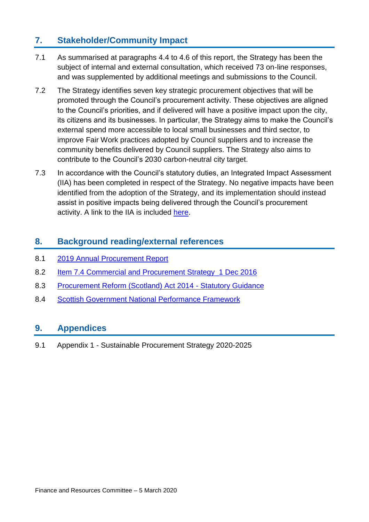## **7. Stakeholder/Community Impact**

- 7.1 As summarised at paragraphs 4.4 to 4.6 of this report, the Strategy has been the subject of internal and external consultation, which received 73 on-line responses, and was supplemented by additional meetings and submissions to the Council.
- 7.2 The Strategy identifies seven key strategic procurement objectives that will be promoted through the Council's procurement activity. These objectives are aligned to the Council's priorities, and if delivered will have a positive impact upon the city, its citizens and its businesses. In particular, the Strategy aims to make the Council's external spend more accessible to local small businesses and third sector, to improve Fair Work practices adopted by Council suppliers and to increase the community benefits delivered by Council suppliers. The Strategy also aims to contribute to the Council's 2030 carbon-neutral city target.
- 7.3 In accordance with the Council's statutory duties, an Integrated Impact Assessment (IIA) has been completed in respect of the Strategy. No negative impacts have been identified from the adoption of the Strategy, and its implementation should instead assist in positive impacts being delivered through the Council's procurement activity. A link to the IIA is included [here.](https://www.edinburgh.gov.uk/directory-record/1223124/sustainable-procurement-strategy-iia)

### **8. Background reading/external references**

- 8.1 [2019 Annual Procurement Report](https://democracy.edinburgh.gov.uk/documents/s4709/7.11%20-%20Commercial%20and%20Procurement%20Annual%20Report%202019_Approved.pdf)
- 8.2 Item 7.4 Commercial and Procurement Strategy 1 Dec 2016
- 8.3 [Procurement Reform \(Scotland\) Act 2014 -](https://www.gov.scot/publications/guidance-under-procurement-reform-scotland-act-2014/pages/1/) Statutory Guidance
- 8.4 [Scottish Government National Performance Framework](https://www2.gov.scot/About/Performance/scotPerforms)

### **9. Appendices**

9.1 Appendix 1 - Sustainable Procurement Strategy 2020-2025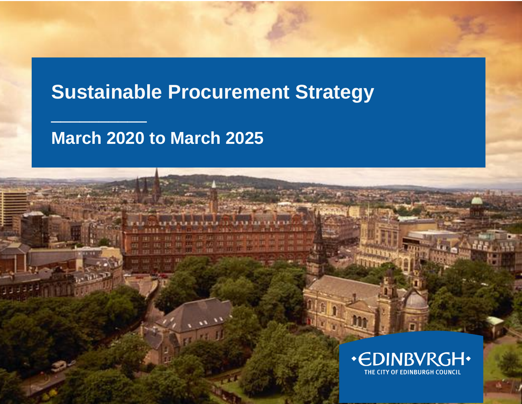# **Sustainable Procurement Strategy**

# **March 2020 to March 2025**

**HOT** 

 $\frac{1}{2}$  , where  $\frac{1}{2}$ 

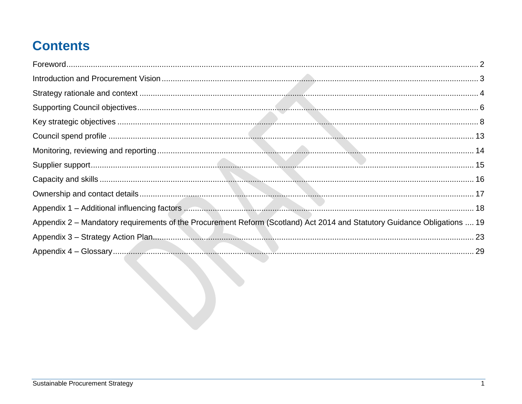# **Contents**

| Appendix 2 - Mandatory requirements of the Procurement Reform (Scotland) Act 2014 and Statutory Guidance Obligations  19 |  |
|--------------------------------------------------------------------------------------------------------------------------|--|
|                                                                                                                          |  |
|                                                                                                                          |  |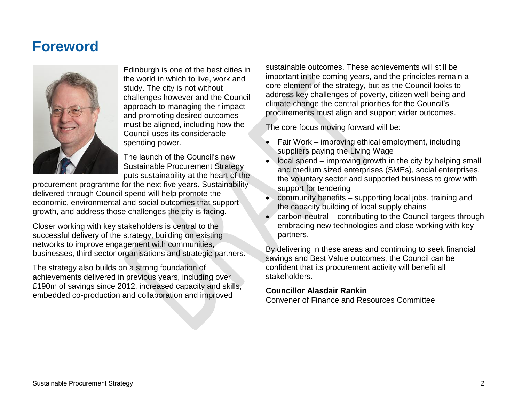# <span id="page-8-0"></span>**Foreword**



Edinburgh is one of the best cities in the world in which to live, work and study. The city is not without challenges however and the Council approach to managing their impact and promoting desired outcomes must be aligned, including how the Council uses its considerable spending power.

The launch of the Council's new Sustainable Procurement Strategy puts sustainability at the heart of the

procurement programme for the next five years. Sustainability delivered through Council spend will help promote the economic, environmental and social outcomes that support growth, and address those challenges the city is facing.

Closer working with key stakeholders is central to the successful delivery of the strategy, building on existing networks to improve engagement with communities, businesses, third sector organisations and strategic partners.

The strategy also builds on a strong foundation of achievements delivered in previous years, including over £190m of savings since 2012, increased capacity and skills, embedded co-production and collaboration and improved

sustainable outcomes. These achievements will still be important in the coming years, and the principles remain a core element of the strategy, but as the Council looks to address key challenges of poverty, citizen well-being and climate change the central priorities for the Council's procurements must align and support wider outcomes.

The core focus moving forward will be:

- Fair Work improving ethical employment, including suppliers paying the Living Wage
- local spend improving growth in the city by helping small and medium sized enterprises (SMEs), social enterprises, the voluntary sector and supported business to grow with support for tendering
- community benefits supporting local jobs, training and the capacity building of local supply chains
- carbon-neutral contributing to the Council targets through embracing new technologies and close working with key partners.

By delivering in these areas and continuing to seek financial savings and Best Value outcomes, the Council can be confident that its procurement activity will benefit all stakeholders.

### **Councillor Alasdair Rankin**

Convener of Finance and Resources Committee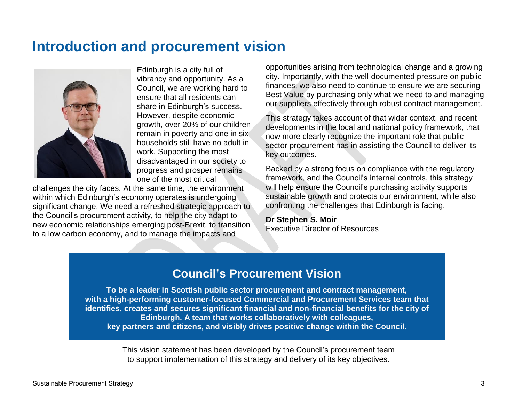# <span id="page-9-0"></span>**Introduction and procurement vision**



Edinburgh is a city full of vibrancy and opportunity. As a Council, we are working hard to ensure that all residents can share in Edinburgh's success. However, despite economic growth, over 20% of our children remain in poverty and one in six households still have no adult in work. Supporting the most disadvantaged in our society to progress and prosper remains one of the most critical

challenges the city faces. At the same time, the environment within which Edinburgh's economy operates is undergoing significant change. We need a refreshed strategic approach to the Council's procurement activity, to help the city adapt to new economic relationships emerging post-Brexit, to transition to a low carbon economy, and to manage the impacts and

opportunities arising from technological change and a growing city. Importantly, with the well-documented pressure on public finances, we also need to continue to ensure we are securing Best Value by purchasing only what we need to and managing our suppliers effectively through robust contract management.

This strategy takes account of that wider context, and recent developments in the local and national policy framework, that now more clearly recognize the important role that public sector procurement has in assisting the Council to deliver its key outcomes.

Backed by a strong focus on compliance with the regulatory framework, and the Council's internal controls, this strategy will help ensure the Council's purchasing activity supports sustainable growth and protects our environment, while also confronting the challenges that Edinburgh is facing.

**Dr Stephen S. Moir** Executive Director of Resources

# **Council's Procurement Vision**

**To be a leader in Scottish public sector procurement and contract management, with a high-performing customer-focused Commercial and Procurement Services team that identifies, creates and secures significant financial and non-financial benefits for the city of Edinburgh. A team that works collaboratively with colleagues, key partners and citizens, and visibly drives positive change within the Council.**

> This vision statement has been developed by the Council's procurement team to support implementation of this strategy and delivery of its key objectives.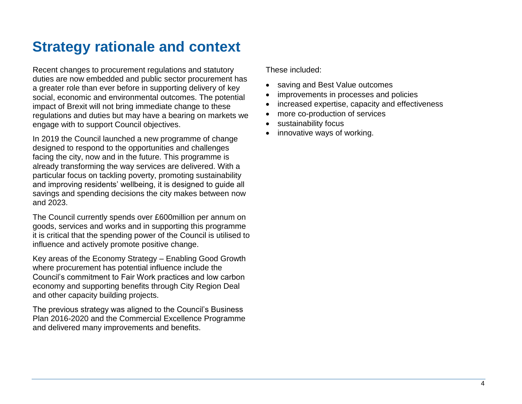# <span id="page-10-0"></span>**Strategy rationale and context**

Recent changes to procurement regulations and statutory duties are now embedded and public sector procurement has a greater role than ever before in supporting delivery of key social, economic and environmental outcomes. The potential impact of Brexit will not bring immediate change to these regulations and duties but may have a bearing on markets we engage with to support Council objectives.

In 2019 the Council launched a new programme of change designed to respond to the opportunities and challenges facing the city, now and in the future. This programme is already transforming the way services are delivered. With a particular focus on tackling poverty, promoting sustainability and improving residents' wellbeing, it is designed to guide all savings and spending decisions the city makes between now and 2023.

The Council currently spends over £600million per annum on goods, services and works and in supporting this programme it is critical that the spending power of the Council is utilised to influence and actively promote positive change.

Key areas of the Economy Strategy – Enabling Good Growth where procurement has potential influence include the Council's commitment to Fair Work practices and low carbon economy and supporting benefits through City Region Deal and other capacity building projects.

The previous strategy was aligned to the Council's Business Plan 2016-2020 and the Commercial Excellence Programme and delivered many improvements and benefits.

These included:

- saving and Best Value outcomes
- improvements in processes and policies
- increased expertise, capacity and effectiveness
- more co-production of services
- sustainability focus
- innovative ways of working.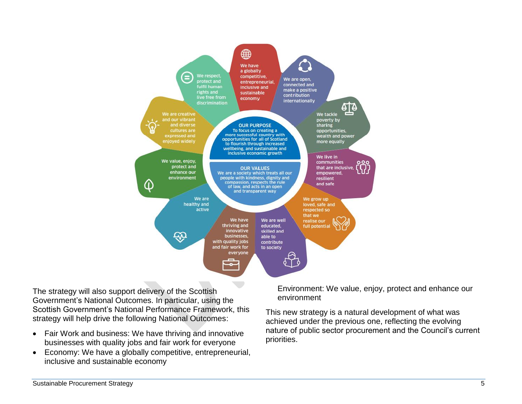

The strategy will also support delivery of the Scottish Government's National Outcomes. In particular, using the Scottish Government's National Performance Framework, this strategy will help drive the following National Outcomes:

- Fair Work and business: We have thriving and innovative businesses with quality jobs and fair work for everyone
- Economy: We have a globally competitive, entrepreneurial, inclusive and sustainable economy

Environment: We value, enjoy, protect and enhance our environment

This new strategy is a natural development of what was achieved under the previous one, reflecting the evolving nature of public sector procurement and the Council's current priorities.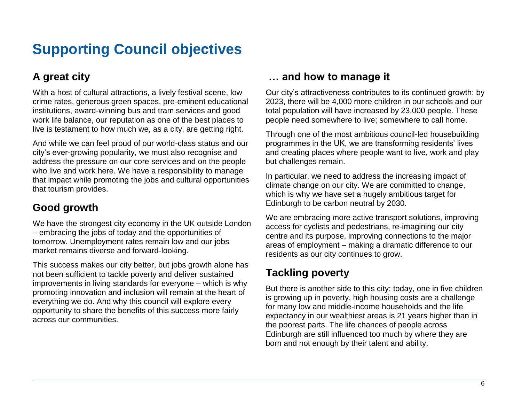# <span id="page-12-0"></span>**Supporting Council objectives**

# **A great city**

With a host of cultural attractions, a lively festival scene, low crime rates, generous green spaces, pre-eminent educational institutions, award-winning bus and tram services and good work life balance, our reputation as one of the best places to live is testament to how much we, as a city, are getting right.

And while we can feel proud of our world-class status and our city's ever-growing popularity, we must also recognise and address the pressure on our core services and on the people who live and work here. We have a responsibility to manage that impact while promoting the jobs and cultural opportunities that tourism provides.

## **Good growth**

We have the strongest city economy in the UK outside London – embracing the jobs of today and the opportunities of tomorrow. Unemployment rates remain low and our jobs market remains diverse and forward-looking.

This success makes our city better, but jobs growth alone has not been sufficient to tackle poverty and deliver sustained improvements in living standards for everyone – which is why promoting innovation and inclusion will remain at the heart of everything we do. And why this council will explore every opportunity to share the benefits of this success more fairly across our communities.

## **… and how to manage it**

Our city's attractiveness contributes to its continued growth: by 2023, there will be 4,000 more children in our schools and our total population will have increased by 23,000 people. These people need somewhere to live; somewhere to call home.

Through one of the most ambitious council-led housebuilding programmes in the UK, we are transforming residents' lives and creating places where people want to live, work and play but challenges remain.

In particular, we need to address the increasing impact of climate change on our city. We are committed to change, which is why we have set a hugely ambitious target for Edinburgh to be carbon neutral by 2030.

We are embracing more active transport solutions, improving access for cyclists and pedestrians, re-imagining our city centre and its purpose, improving connections to the major areas of employment – making a dramatic difference to our residents as our city continues to grow.

# **Tackling poverty**

But there is another side to this city: today, one in five children is growing up in poverty, high housing costs are a challenge for many low and middle-income households and the life expectancy in our wealthiest areas is 21 years higher than in the poorest parts. The life chances of people across Edinburgh are still influenced too much by where they are born and not enough by their talent and ability.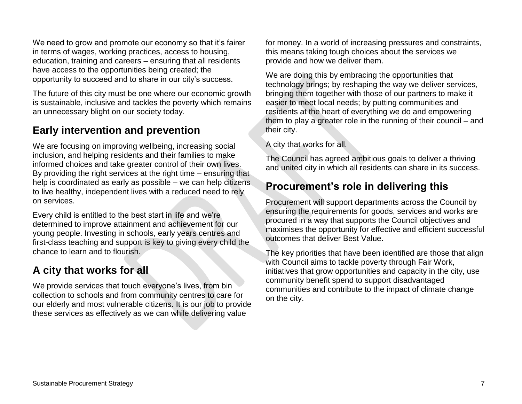We need to grow and promote our economy so that it's fairer in terms of wages, working practices, access to housing, education, training and careers – ensuring that all residents have access to the opportunities being created; the opportunity to succeed and to share in our city's success.

The future of this city must be one where our economic growth is sustainable, inclusive and tackles the poverty which remains an unnecessary blight on our society today.

# **Early intervention and prevention**

We are focusing on improving wellbeing, increasing social inclusion, and helping residents and their families to make informed choices and take greater control of their own lives. By providing the right services at the right time – ensuring that help is coordinated as early as possible – we can help citizens to live healthy, independent lives with a reduced need to rely on services.

Every child is entitled to the best start in life and we're determined to improve attainment and achievement for our young people. Investing in schools, early years centres and first-class teaching and support is key to giving every child the chance to learn and to flourish.

## **A city that works for all**

We provide services that touch everyone's lives, from bin collection to schools and from community centres to care for our elderly and most vulnerable citizens. It is our job to provide these services as effectively as we can while delivering value

for money. In a world of increasing pressures and constraints, this means taking tough choices about the services we provide and how we deliver them.

We are doing this by embracing the opportunities that technology brings; by reshaping the way we deliver services, bringing them together with those of our partners to make it easier to meet local needs; by putting communities and residents at the heart of everything we do and empowering them to play a greater role in the running of their council – and their city.

A city that works for all.

The Council has agreed ambitious goals to deliver a thriving and united city in which all residents can share in its success.

# **Procurement's role in delivering this**

Procurement will support departments across the Council by ensuring the requirements for goods, services and works are procured in a way that supports the Council objectives and maximises the opportunity for effective and efficient successful outcomes that deliver Best Value.

The key priorities that have been identified are those that align with Council aims to tackle poverty through Fair Work, initiatives that grow opportunities and capacity in the city, use community benefit spend to support disadvantaged communities and contribute to the impact of climate change on the city.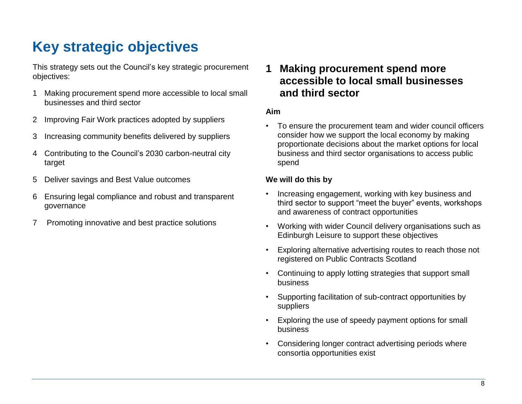# <span id="page-14-0"></span>**Key strategic objectives**

This strategy sets out the Council's key strategic procurement objectives:

- 1 Making procurement spend more accessible to local small businesses and third sector
- 2 Improving Fair Work practices adopted by suppliers
- 3 Increasing community benefits delivered by suppliers
- 4 Contributing to the Council's 2030 carbon-neutral city target
- 5 Deliver savings and Best Value outcomes
- 6 Ensuring legal compliance and robust and transparent governance
- 7 Promoting innovative and best practice solutions

## **1 Making procurement spend more accessible to local small businesses and third sector**

#### **Aim**

• To ensure the procurement team and wider council officers consider how we support the local economy by making proportionate decisions about the market options for local business and third sector organisations to access public spend

#### **We will do this by**

- Increasing engagement, working with key business and third sector to support "meet the buyer" events, workshops and awareness of contract opportunities
- Working with wider Council delivery organisations such as Edinburgh Leisure to support these objectives
- Exploring alternative advertising routes to reach those not registered on Public Contracts Scotland
- Continuing to apply lotting strategies that support small business
- Supporting facilitation of sub-contract opportunities by suppliers
- Exploring the use of speedy payment options for small business
- Considering longer contract advertising periods where consortia opportunities exist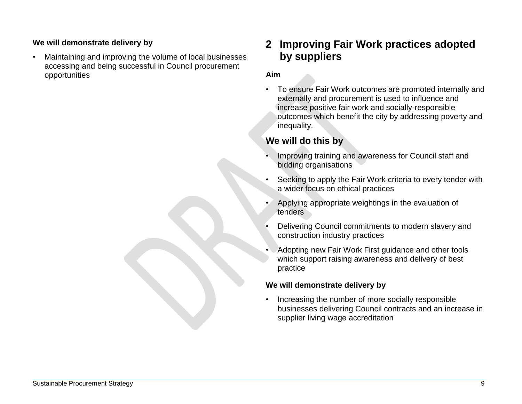### **We will demonstrate delivery by**

• Maintaining and improving the volume of local businesses accessing and being successful in Council procurement opportunities

## **2 Improving Fair Work practices adopted by suppliers**

### **Aim**

• To ensure Fair Work outcomes are promoted internally and externally and procurement is used to influence and increase positive fair work and socially-responsible outcomes which benefit the city by addressing poverty and inequality.

### **We will do this by**

- Improving training and awareness for Council staff and bidding organisations
- Seeking to apply the Fair Work criteria to every tender with a wider focus on ethical practices
- Applying appropriate weightings in the evaluation of tenders
- Delivering Council commitments to modern slavery and construction industry practices
- Adopting new Fair Work First guidance and other tools which support raising awareness and delivery of best practice

### **We will demonstrate delivery by**

• Increasing the number of more socially responsible businesses delivering Council contracts and an increase in supplier living wage accreditation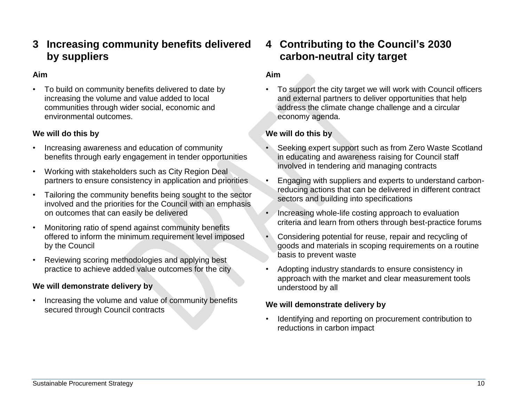### **Aim**

• To build on community benefits delivered to date by increasing the volume and value added to local communities through wider social, economic and environmental outcomes.

### **We will do this by**

- Increasing awareness and education of community benefits through early engagement in tender opportunities
- Working with stakeholders such as City Region Deal partners to ensure consistency in application and priorities
- Tailoring the community benefits being sought to the sector involved and the priorities for the Council with an emphasis on outcomes that can easily be delivered
- Monitoring ratio of spend against community benefits offered to inform the minimum requirement level imposed by the Council
- Reviewing scoring methodologies and applying best practice to achieve added value outcomes for the city

### **We will demonstrate delivery by**

• Increasing the volume and value of community benefits secured through Council contracts

## **4 Contributing to the Council's 2030 carbon-neutral city target**

### **Aim**

• To support the city target we will work with Council officers and external partners to deliver opportunities that help address the climate change challenge and a circular economy agenda.

### **We will do this by**

- Seeking expert support such as from Zero Waste Scotland in educating and awareness raising for Council staff involved in tendering and managing contracts
- Engaging with suppliers and experts to understand carbonreducing actions that can be delivered in different contract sectors and building into specifications
- Increasing whole-life costing approach to evaluation criteria and learn from others through best-practice forums
- Considering potential for reuse, repair and recycling of goods and materials in scoping requirements on a routine basis to prevent waste
- Adopting industry standards to ensure consistency in approach with the market and clear measurement tools understood by all

### **We will demonstrate delivery by**

• Identifying and reporting on procurement contribution to reductions in carbon impact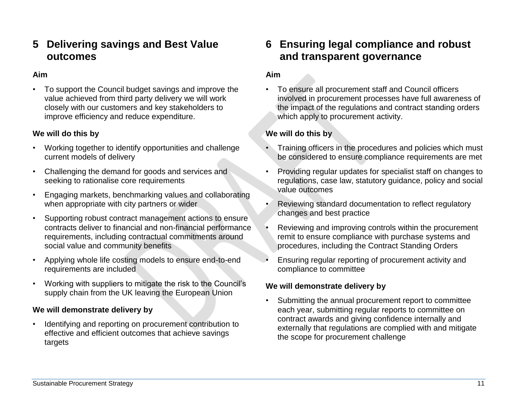## **5 Delivering savings and Best Value outcomes**

### **Aim**

• To support the Council budget savings and improve the value achieved from third party delivery we will work closely with our customers and key stakeholders to improve efficiency and reduce expenditure.

#### **We will do this by**

- Working together to identify opportunities and challenge current models of delivery
- Challenging the demand for goods and services and seeking to rationalise core requirements
- Engaging markets, benchmarking values and collaborating when appropriate with city partners or wider
- Supporting robust contract management actions to ensure contracts deliver to financial and non-financial performance requirements, including contractual commitments around social value and community benefits
- Applying whole life costing models to ensure end-to-end requirements are included
- Working with suppliers to mitigate the risk to the Council's supply chain from the UK leaving the European Union

### **We will demonstrate delivery by**

• Identifying and reporting on procurement contribution to effective and efficient outcomes that achieve savings targets

## **6 Ensuring legal compliance and robust and transparent governance**

#### **Aim**

• To ensure all procurement staff and Council officers involved in procurement processes have full awareness of the impact of the regulations and contract standing orders which apply to procurement activity.

### **We will do this by**

- Training officers in the procedures and policies which must be considered to ensure compliance requirements are met
- Providing regular updates for specialist staff on changes to regulations, case law, statutory guidance, policy and social value outcomes
- Reviewing standard documentation to reflect regulatory changes and best practice
- Reviewing and improving controls within the procurement remit to ensure compliance with purchase systems and procedures, including the Contract Standing Orders
- Ensuring regular reporting of procurement activity and compliance to committee

### **We will demonstrate delivery by**

• Submitting the annual procurement report to committee each year, submitting regular reports to committee on contract awards and giving confidence internally and externally that regulations are complied with and mitigate the scope for procurement challenge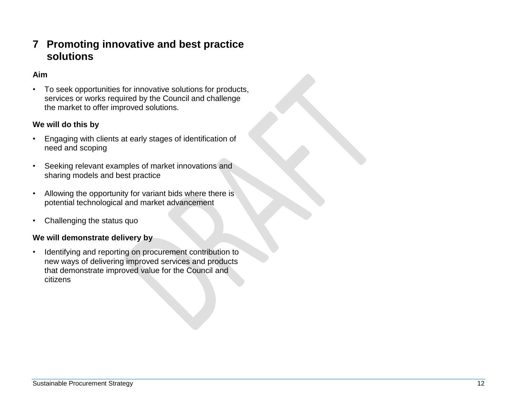## **7 Promoting innovative and best practice solutions**

### **Aim**

• To seek opportunities for innovative solutions for products, services or works required by the Council and challenge the market to offer improved solutions.

### **We will do this by**

- Engaging with clients at early stages of identification of need and scoping
- Seeking relevant examples of market innovations and sharing models and best practice
- Allowing the opportunity for variant bids where there is potential technological and market advancement
- Challenging the status quo

#### **We will demonstrate delivery by**

• Identifying and reporting on procurement contribution to new ways of delivering improved services and products that demonstrate improved value for the Council and citizens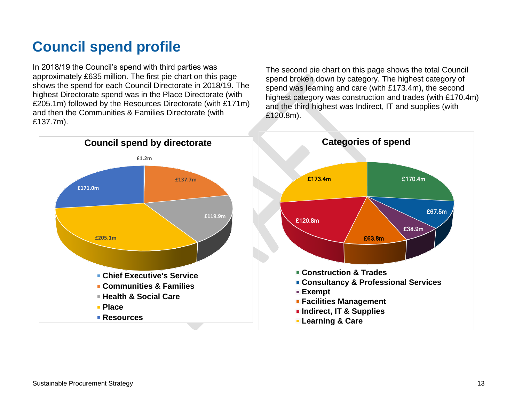# <span id="page-19-0"></span>**Council spend profile**

In 2018/19 the Council's spend with third parties was approximately £635 million. The first pie chart on this page shows the spend for each Council Directorate in 2018/19. The highest Directorate spend was in the Place Directorate (with £205.1m) followed by the Resources Directorate (with £171m) and then the Communities & Families Directorate (with £137.7m).

The second pie chart on this page shows the total Council spend broken down by category. The highest category of spend was learning and care (with £173.4m), the second highest category was construction and trades (with £170.4m) and the third highest was Indirect, IT and supplies (with £120.8m).

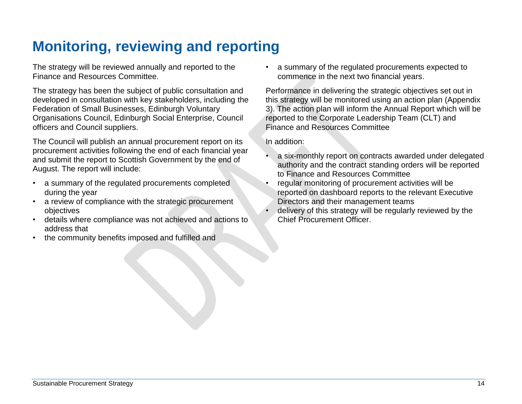# <span id="page-20-0"></span>**Monitoring, reviewing and reporting**

The strategy will be reviewed annually and reported to the Finance and Resources Committee.

The strategy has been the subject of public consultation and developed in consultation with key stakeholders, including the Federation of Small Businesses, Edinburgh Voluntary Organisations Council, Edinburgh Social Enterprise, Council officers and Council suppliers.

The Council will publish an annual procurement report on its procurement activities following the end of each financial year and submit the report to Scottish Government by the end of August. The report will include:

- a summary of the regulated procurements completed during the year
- a review of compliance with the strategic procurement objectives
- details where compliance was not achieved and actions to address that
- the community benefits imposed and fulfilled and

• a summary of the regulated procurements expected to commence in the next two financial years.

Performance in delivering the strategic objectives set out in this strategy will be monitored using an action plan (Appendix 3). The action plan will inform the Annual Report which will be reported to the Corporate Leadership Team (CLT) and Finance and Resources Committee

In addition:

- a six-monthly report on contracts awarded under delegated authority and the contract standing orders will be reported to Finance and Resources Committee
- regular monitoring of procurement activities will be reported on dashboard reports to the relevant Executive Directors and their management teams
- delivery of this strategy will be regularly reviewed by the Chief Procurement Officer.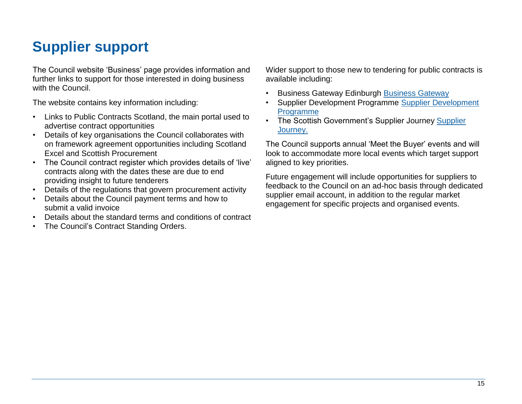# <span id="page-21-0"></span>**Supplier support**

The Council website 'Business' page provides information and further links to support for those interested in doing business with the Council.

The website contains key information including:

- Links to Public Contracts Scotland, the main portal used to advertise contract opportunities
- Details of key organisations the Council collaborates with on framework agreement opportunities including Scotland Excel and Scottish Procurement
- The Council contract register which provides details of 'live' contracts along with the dates these are due to end providing insight to future tenderers
- Details of the regulations that govern procurement activity
- Details about the Council payment terms and how to submit a valid invoice
- Details about the standard terms and conditions of contract
- The Council's Contract Standing Orders.

Wider support to those new to tendering for public contracts is available including:

- Business Gateway Edinburgh [Business Gateway](https://www.bgateway.com/)
- Supplier Development Programme [Supplier Development](https://www.sdpscotland.co.uk/)  [Programme](https://www.sdpscotland.co.uk/)
- The Scottish Government's [Supplier](https://www.supplierjourney.scot/) Journey Supplier [Journey.](https://www.supplierjourney.scot/)

The Council supports annual 'Meet the Buyer' events and will look to accommodate more local events which target support aligned to key priorities.

Future engagement will include opportunities for suppliers to feedback to the Council on an ad-hoc basis through dedicated supplier email account, in addition to the regular market engagement for specific projects and organised events.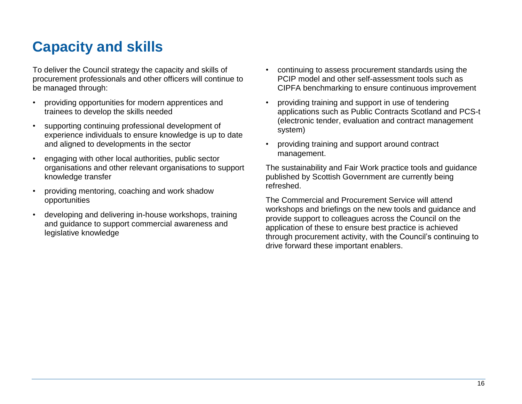# <span id="page-22-0"></span>**Capacity and skills**

To deliver the Council strategy the capacity and skills of procurement professionals and other officers will continue to be managed through:

- providing opportunities for modern apprentices and trainees to develop the skills needed
- supporting continuing professional development of experience individuals to ensure knowledge is up to date and aligned to developments in the sector
- engaging with other local authorities, public sector organisations and other relevant organisations to support knowledge transfer
- providing mentoring, coaching and work shadow opportunities
- developing and delivering in-house workshops, training and guidance to support commercial awareness and legislative knowledge
- continuing to assess procurement standards using the PCIP model and other self-assessment tools such as CIPFA benchmarking to ensure continuous improvement
- providing training and support in use of tendering applications such as Public Contracts Scotland and PCS-t (electronic tender, evaluation and contract management system)
- providing training and support around contract management.

The sustainability and Fair Work practice tools and guidance published by Scottish Government are currently being refreshed.

The Commercial and Procurement Service will attend workshops and briefings on the new tools and guidance and provide support to colleagues across the Council on the application of these to ensure best practice is achieved through procurement activity, with the Council's continuing to drive forward these important enablers.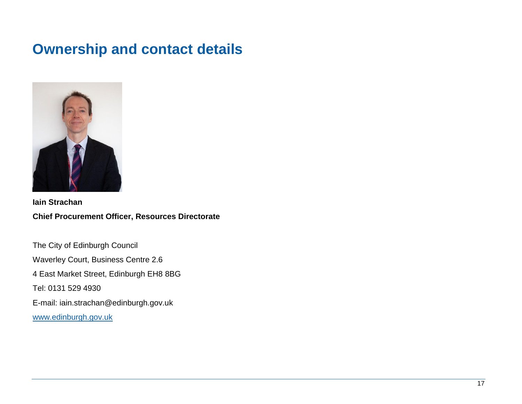# <span id="page-23-0"></span>**Ownership and contact details**



**Iain Strachan Chief Procurement Officer, Resources Directorate**

The City of Edinburgh Council Waverley Court, Business Centre 2.6 4 East Market Street, Edinburgh EH8 8BG Tel: 0131 529 4930 E-mail: iain.strachan@edinburgh.gov.uk [www.edinburgh.gov.uk](http://www.edinburgh.gov.uk/)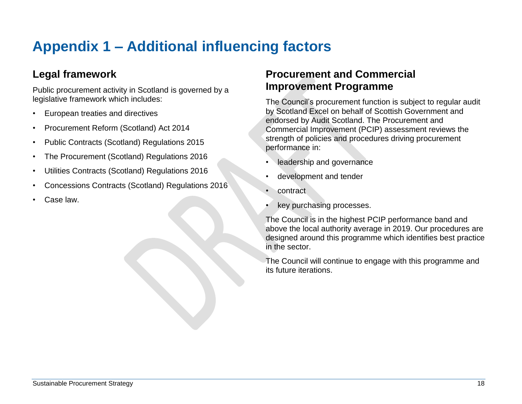# <span id="page-24-0"></span>**Appendix 1 – Additional influencing factors**

# **Legal framework**

Public procurement activity in Scotland is governed by a legislative framework which includes:

- European treaties and directives
- Procurement Reform (Scotland) Act 2014
- Public Contracts (Scotland) Regulations 2015
- The Procurement (Scotland) Regulations 2016
- Utilities Contracts (Scotland) Regulations 2016
- Concessions Contracts (Scotland) Regulations 2016
- Case law.

## **Procurement and Commercial Improvement Programme**

The Council's procurement function is subject to regular audit by Scotland Excel on behalf of Scottish Government and endorsed by Audit Scotland. The Procurement and Commercial Improvement (PCIP) assessment reviews the strength of policies and procedures driving procurement performance in:

- leadership and governance
- development and tender
- contract
- key purchasing processes.

The Council is in the highest PCIP performance band and above the local authority average in 2019. Our procedures are designed around this programme which identifies best practice in the sector.

The Council will continue to engage with this programme and its future iterations.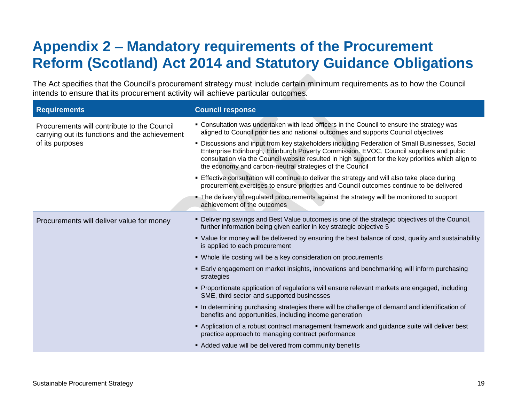# <span id="page-25-0"></span>**Appendix 2 – Mandatory requirements of the Procurement Reform (Scotland) Act 2014 and Statutory Guidance Obligations**

The Act specifies that the Council's procurement strategy must include certain minimum requirements as to how the Council intends to ensure that its procurement activity will achieve particular outcomes.

| <b>Requirements</b>                                                                           | <b>Council response</b>                                                                                                                                                                                                                                                                                                                                    |
|-----------------------------------------------------------------------------------------------|------------------------------------------------------------------------------------------------------------------------------------------------------------------------------------------------------------------------------------------------------------------------------------------------------------------------------------------------------------|
| Procurements will contribute to the Council<br>carrying out its functions and the achievement | • Consultation was undertaken with lead officers in the Council to ensure the strategy was<br>aligned to Council priorities and national outcomes and supports Council objectives                                                                                                                                                                          |
| of its purposes                                                                               | • Discussions and input from key stakeholders including Federation of Small Businesses, Social<br>Enterprise Edinburgh, Edinburgh Poverty Commission. EVOC, Council suppliers and pubic<br>consultation via the Council website resulted in high support for the key priorities which align to<br>the economy and carbon-neutral strategies of the Council |
|                                                                                               | Effective consultation will continue to deliver the strategy and will also take place during<br>procurement exercises to ensure priorities and Council outcomes continue to be delivered                                                                                                                                                                   |
|                                                                                               | • The delivery of regulated procurements against the strategy will be monitored to support<br>achievement of the outcomes                                                                                                                                                                                                                                  |
| Procurements will deliver value for money                                                     | • Delivering savings and Best Value outcomes is one of the strategic objectives of the Council,<br>further information being given earlier in key strategic objective 5                                                                                                                                                                                    |
|                                                                                               | • Value for money will be delivered by ensuring the best balance of cost, quality and sustainability<br>is applied to each procurement                                                                                                                                                                                                                     |
|                                                                                               | • Whole life costing will be a key consideration on procurements                                                                                                                                                                                                                                                                                           |
|                                                                                               | <b>Early engagement on market insights, innovations and benchmarking will inform purchasing</b><br>strategies                                                                                                                                                                                                                                              |
|                                                                                               | • Proportionate application of regulations will ensure relevant markets are engaged, including<br>SME, third sector and supported businesses                                                                                                                                                                                                               |
|                                                                                               | In determining purchasing strategies there will be challenge of demand and identification of<br>benefits and opportunities, including income generation                                                                                                                                                                                                    |
|                                                                                               | - Application of a robust contract management framework and guidance suite will deliver best<br>practice approach to managing contract performance                                                                                                                                                                                                         |
|                                                                                               | Added value will be delivered from community benefits                                                                                                                                                                                                                                                                                                      |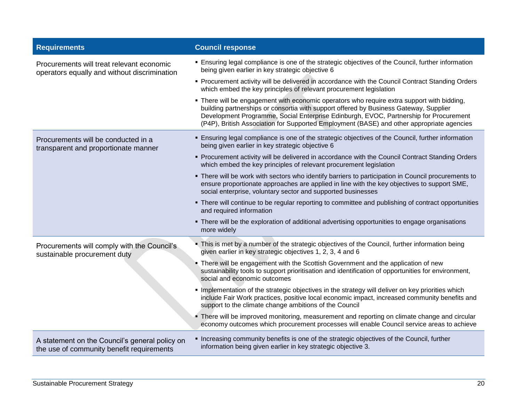| <b>Requirements</b>                                                                         | <b>Council response</b>                                                                                                                                                                                                                                                                                                                                                   |
|---------------------------------------------------------------------------------------------|---------------------------------------------------------------------------------------------------------------------------------------------------------------------------------------------------------------------------------------------------------------------------------------------------------------------------------------------------------------------------|
| Procurements will treat relevant economic<br>operators equally and without discrimination   | • Ensuring legal compliance is one of the strategic objectives of the Council, further information<br>being given earlier in key strategic objective 6                                                                                                                                                                                                                    |
|                                                                                             | • Procurement activity will be delivered in accordance with the Council Contract Standing Orders<br>which embed the key principles of relevant procurement legislation                                                                                                                                                                                                    |
|                                                                                             | . There will be engagement with economic operators who require extra support with bidding,<br>building partnerships or consortia with support offered by Business Gateway, Supplier<br>Development Programme, Social Enterprise Edinburgh, EVOC, Partnership for Procurement<br>(P4P), British Association for Supported Employment (BASE) and other appropriate agencies |
| Procurements will be conducted in a<br>transparent and proportionate manner                 | <b>Ensuring legal compliance is one of the strategic objectives of the Council, further information</b><br>being given earlier in key strategic objective 6                                                                                                                                                                                                               |
|                                                                                             | • Procurement activity will be delivered in accordance with the Council Contract Standing Orders<br>which embed the key principles of relevant procurement legislation                                                                                                                                                                                                    |
|                                                                                             | • There will be work with sectors who identify barriers to participation in Council procurements to<br>ensure proportionate approaches are applied in line with the key objectives to support SME,<br>social enterprise, voluntary sector and supported businesses                                                                                                        |
|                                                                                             | • There will continue to be regular reporting to committee and publishing of contract opportunities<br>and required information                                                                                                                                                                                                                                           |
|                                                                                             | • There will be the exploration of additional advertising opportunities to engage organisations<br>more widely                                                                                                                                                                                                                                                            |
| Procurements will comply with the Council's<br>sustainable procurement duty                 | This is met by a number of the strategic objectives of the Council, further information being<br>given earlier in key strategic objectives 1, 2, 3, 4 and 6                                                                                                                                                                                                               |
|                                                                                             | • There will be engagement with the Scottish Government and the application of new<br>sustainability tools to support prioritisation and identification of opportunities for environment,<br>social and economic outcomes                                                                                                                                                 |
|                                                                                             | Implementation of the strategic objectives in the strategy will deliver on key priorities which<br>include Fair Work practices, positive local economic impact, increased community benefits and<br>support to the climate change ambitions of the Council                                                                                                                |
|                                                                                             | • There will be improved monitoring, measurement and reporting on climate change and circular<br>economy outcomes which procurement processes will enable Council service areas to achieve                                                                                                                                                                                |
| A statement on the Council's general policy on<br>the use of community benefit requirements | • Increasing community benefits is one of the strategic objectives of the Council, further<br>information being given earlier in key strategic objective 3.                                                                                                                                                                                                               |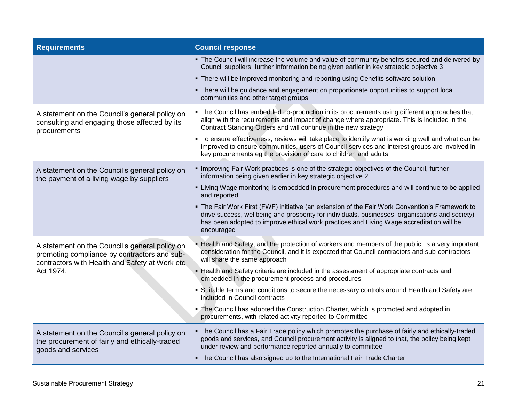| <b>Requirements</b>                                                                                                                              | <b>Council response</b>                                                                                                                                                                                                                                                                                      |
|--------------------------------------------------------------------------------------------------------------------------------------------------|--------------------------------------------------------------------------------------------------------------------------------------------------------------------------------------------------------------------------------------------------------------------------------------------------------------|
|                                                                                                                                                  | . The Council will increase the volume and value of community benefits secured and delivered by<br>Council suppliers, further information being given earlier in key strategic objective 3                                                                                                                   |
|                                                                                                                                                  | • There will be improved monitoring and reporting using Cenefits software solution                                                                                                                                                                                                                           |
|                                                                                                                                                  | • There will be guidance and engagement on proportionate opportunities to support local<br>communities and other target groups                                                                                                                                                                               |
| A statement on the Council's general policy on<br>consulting and engaging those affected by its<br>procurements                                  | • The Council has embedded co-production in its procurements using different approaches that<br>align with the requirements and impact of change where appropriate. This is included in the<br>Contract Standing Orders and will continue in the new strategy                                                |
|                                                                                                                                                  | • To ensure effectiveness, reviews will take place to identify what is working well and what can be<br>improved to ensure communities, users of Council services and interest groups are involved in<br>key procurements eg the provision of care to children and adults                                     |
| A statement on the Council's general policy on<br>the payment of a living wage by suppliers                                                      | Improving Fair Work practices is one of the strategic objectives of the Council, further<br>information being given earlier in key strategic objective 2                                                                                                                                                     |
|                                                                                                                                                  | • Living Wage monitoring is embedded in procurement procedures and will continue to be applied<br>and reported                                                                                                                                                                                               |
|                                                                                                                                                  | • The Fair Work First (FWF) initiative (an extension of the Fair Work Convention's Framework to<br>drive success, wellbeing and prosperity for individuals, businesses, organisations and society)<br>has been adopted to improve ethical work practices and Living Wage accreditation will be<br>encouraged |
| A statement on the Council's general policy on<br>promoting compliance by contractors and sub-<br>contractors with Health and Safety at Work etc | - Health and Safety, and the protection of workers and members of the public, is a very important<br>consideration for the Council, and it is expected that Council contractors and sub-contractors<br>will share the same approach                                                                          |
| Act 1974.                                                                                                                                        | - Health and Safety criteria are included in the assessment of appropriate contracts and<br>embedded in the procurement process and procedures                                                                                                                                                               |
|                                                                                                                                                  | • Suitable terms and conditions to secure the necessary controls around Health and Safety are<br>included in Council contracts                                                                                                                                                                               |
|                                                                                                                                                  | • The Council has adopted the Construction Charter, which is promoted and adopted in<br>procurements, with related activity reported to Committee                                                                                                                                                            |
| A statement on the Council's general policy on<br>the procurement of fairly and ethically-traded<br>goods and services                           | . The Council has a Fair Trade policy which promotes the purchase of fairly and ethically-traded<br>goods and services, and Council procurement activity is aligned to that, the policy being kept<br>under review and performance reported annually to committee                                            |
|                                                                                                                                                  | . The Council has also signed up to the International Fair Trade Charter                                                                                                                                                                                                                                     |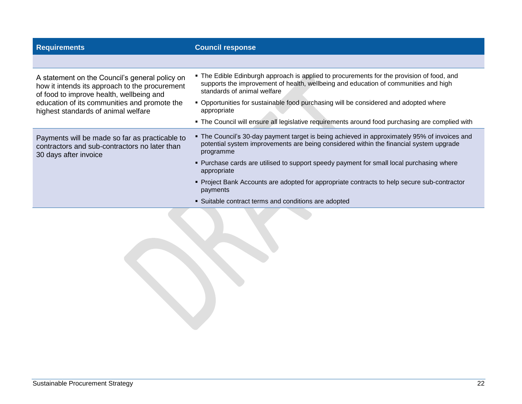| <b>Requirements</b>                                                                                                                          | <b>Council response</b>                                                                                                                                                                                         |
|----------------------------------------------------------------------------------------------------------------------------------------------|-----------------------------------------------------------------------------------------------------------------------------------------------------------------------------------------------------------------|
|                                                                                                                                              |                                                                                                                                                                                                                 |
| A statement on the Council's general policy on<br>how it intends its approach to the procurement<br>of food to improve health, wellbeing and | • The Edible Edinburgh approach is applied to procurements for the provision of food, and<br>supports the improvement of health, wellbeing and education of communities and high<br>standards of animal welfare |
| education of its communities and promote the<br>highest standards of animal welfare                                                          | • Opportunities for sustainable food purchasing will be considered and adopted where<br>appropriate                                                                                                             |
|                                                                                                                                              | • The Council will ensure all legislative requirements around food purchasing are complied with                                                                                                                 |
| Payments will be made so far as practicable to<br>contractors and sub-contractors no later than<br>30 days after invoice                     | • The Council's 30-day payment target is being achieved in approximately 95% of invoices and<br>potential system improvements are being considered within the financial system upgrade<br>programme             |
|                                                                                                                                              | • Purchase cards are utilised to support speedy payment for small local purchasing where<br>appropriate                                                                                                         |
|                                                                                                                                              | • Project Bank Accounts are adopted for appropriate contracts to help secure sub-contractor<br>payments                                                                                                         |
|                                                                                                                                              | • Suitable contract terms and conditions are adopted                                                                                                                                                            |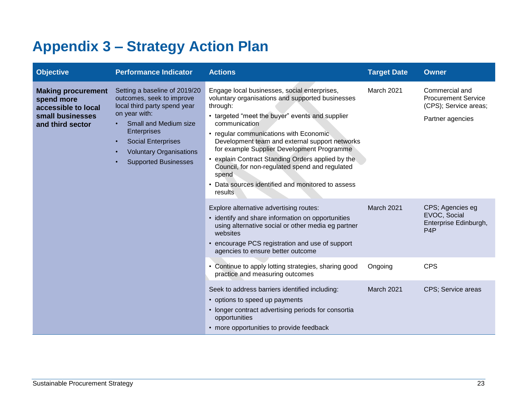# <span id="page-29-0"></span>**Appendix 3 – Strategy Action Plan**

| <b>Objective</b>                                                                                                                                                                                                                                                                                                                  | <b>Performance Indicator</b>                                                                                                                                                                                                                           | <b>Actions</b>                                                                                                                                                                                                                                                                                                                                                                                                                                                                                             | <b>Target Date</b>                                                            | <b>Owner</b>                                                                              |
|-----------------------------------------------------------------------------------------------------------------------------------------------------------------------------------------------------------------------------------------------------------------------------------------------------------------------------------|--------------------------------------------------------------------------------------------------------------------------------------------------------------------------------------------------------------------------------------------------------|------------------------------------------------------------------------------------------------------------------------------------------------------------------------------------------------------------------------------------------------------------------------------------------------------------------------------------------------------------------------------------------------------------------------------------------------------------------------------------------------------------|-------------------------------------------------------------------------------|-------------------------------------------------------------------------------------------|
| <b>Making procurement</b><br>outcomes, seek to improve<br>spend more<br>local third party spend year<br>accessible to local<br>on year with:<br>small businesses<br>Small and Medium size<br>and third sector<br><b>Enterprises</b><br><b>Social Enterprises</b><br><b>Voluntary Organisations</b><br><b>Supported Businesses</b> | Setting a baseline of 2019/20                                                                                                                                                                                                                          | Engage local businesses, social enterprises,<br>voluntary organisations and supported businesses<br>through:<br>• targeted "meet the buyer" events and supplier<br>communication<br>• regular communications with Economic<br>Development team and external support networks<br>for example Supplier Development Programme<br>• explain Contract Standing Orders applied by the<br>Council, for non-regulated spend and regulated<br>spend<br>• Data sources identified and monitored to assess<br>results | March 2021                                                                    | Commercial and<br><b>Procurement Service</b><br>(CPS); Service areas;<br>Partner agencies |
|                                                                                                                                                                                                                                                                                                                                   | Explore alternative advertising routes:<br>• identify and share information on opportunities<br>using alternative social or other media eg partner<br>websites<br>• encourage PCS registration and use of support<br>agencies to ensure better outcome | March 2021                                                                                                                                                                                                                                                                                                                                                                                                                                                                                                 | CPS; Agencies eg<br>EVOC, Social<br>Enterprise Edinburgh,<br>P <sub>4</sub> P |                                                                                           |
|                                                                                                                                                                                                                                                                                                                                   | • Continue to apply lotting strategies, sharing good<br>practice and measuring outcomes                                                                                                                                                                | Ongoing                                                                                                                                                                                                                                                                                                                                                                                                                                                                                                    | <b>CPS</b>                                                                    |                                                                                           |
|                                                                                                                                                                                                                                                                                                                                   |                                                                                                                                                                                                                                                        | Seek to address barriers identified including:<br>• options to speed up payments<br>• longer contract advertising periods for consortia<br>opportunities<br>• more opportunities to provide feedback                                                                                                                                                                                                                                                                                                       | March 2021                                                                    | CPS; Service areas                                                                        |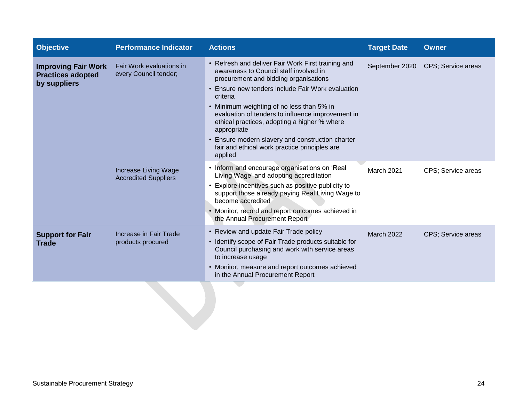| <b>Objective</b>                                                       | <b>Performance Indicator</b>                        | <b>Actions</b>                                                                                                                                                                                                                                                                                                                                                                                                                                                                          | <b>Target Date</b> | <b>Owner</b>       |
|------------------------------------------------------------------------|-----------------------------------------------------|-----------------------------------------------------------------------------------------------------------------------------------------------------------------------------------------------------------------------------------------------------------------------------------------------------------------------------------------------------------------------------------------------------------------------------------------------------------------------------------------|--------------------|--------------------|
| <b>Improving Fair Work</b><br><b>Practices adopted</b><br>by suppliers | Fair Work evaluations in<br>every Council tender;   | • Refresh and deliver Fair Work First training and<br>awareness to Council staff involved in<br>procurement and bidding organisations<br>• Ensure new tenders include Fair Work evaluation<br>criteria<br>• Minimum weighting of no less than 5% in<br>evaluation of tenders to influence improvement in<br>ethical practices, adopting a higher % where<br>appropriate<br>• Ensure modern slavery and construction charter<br>fair and ethical work practice principles are<br>applied | September 2020     | CPS; Service areas |
|                                                                        | Increase Living Wage<br><b>Accredited Suppliers</b> | • Inform and encourage organisations on 'Real<br>Living Wage' and adopting accreditation<br>Explore incentives such as positive publicity to<br>support those already paying Real Living Wage to<br>become accredited<br>• Monitor, record and report outcomes achieved in<br>the Annual Procurement Report                                                                                                                                                                             | March 2021         | CPS; Service areas |
| <b>Support for Fair</b><br><b>Trade</b>                                | <b>Increase in Fair Trade</b><br>products procured  | • Review and update Fair Trade policy<br>• Identify scope of Fair Trade products suitable for<br>Council purchasing and work with service areas<br>to increase usage<br>• Monitor, measure and report outcomes achieved<br>in the Annual Procurement Report                                                                                                                                                                                                                             | <b>March 2022</b>  | CPS; Service areas |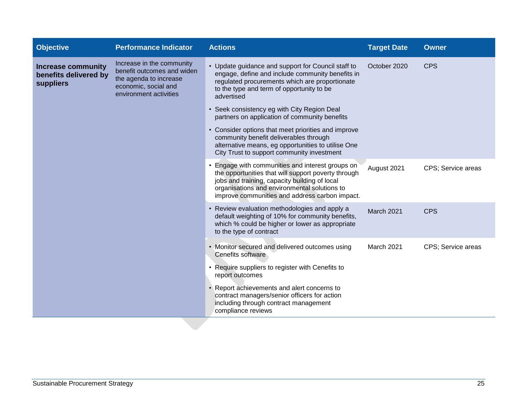| <b>Objective</b>                                                | <b>Performance Indicator</b>                                                                                                        | <b>Actions</b>                                                                                                                                                                                                                                           | <b>Target Date</b> | <b>Owner</b>       |
|-----------------------------------------------------------------|-------------------------------------------------------------------------------------------------------------------------------------|----------------------------------------------------------------------------------------------------------------------------------------------------------------------------------------------------------------------------------------------------------|--------------------|--------------------|
| <b>Increase community</b><br>benefits delivered by<br>suppliers | Increase in the community<br>benefit outcomes and widen<br>the agenda to increase<br>economic, social and<br>environment activities | • Update guidance and support for Council staff to<br>engage, define and include community benefits in<br>regulated procurements which are proportionate<br>to the type and term of opportunity to be<br>advertised                                      | October 2020       | <b>CPS</b>         |
|                                                                 |                                                                                                                                     | • Seek consistency eg with City Region Deal<br>partners on application of community benefits                                                                                                                                                             |                    |                    |
|                                                                 |                                                                                                                                     | • Consider options that meet priorities and improve<br>community benefit deliverables through<br>alternative means, eg opportunities to utilise One<br>City Trust to support community investment                                                        |                    |                    |
|                                                                 |                                                                                                                                     | Engage with communities and interest groups on<br>the opportunities that will support poverty through<br>jobs and training, capacity building of local<br>organisations and environmental solutions to<br>improve communities and address carbon impact. | August 2021        | CPS; Service areas |
|                                                                 |                                                                                                                                     | • Review evaluation methodologies and apply a<br>default weighting of 10% for community benefits,<br>which % could be higher or lower as appropriate<br>to the type of contract                                                                          | March 2021         | <b>CPS</b>         |
|                                                                 |                                                                                                                                     | • Monitor secured and delivered outcomes using<br><b>Cenefits software</b>                                                                                                                                                                               | March 2021         | CPS; Service areas |
|                                                                 |                                                                                                                                     | • Require suppliers to register with Cenefits to<br>report outcomes                                                                                                                                                                                      |                    |                    |
|                                                                 |                                                                                                                                     | • Report achievements and alert concerns to<br>contract managers/senior officers for action<br>including through contract management<br>compliance reviews                                                                                               |                    |                    |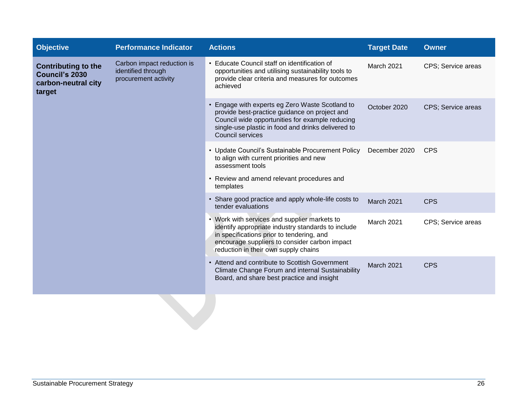| <b>Objective</b>                                                                                                                                                 | <b>Performance Indicator</b>                                                                                                                                                                                                  | <b>Actions</b>                                                                                                                                                      | <b>Target Date</b>                                                                                                                                                                                                                       | <b>Owner</b>       |                    |
|------------------------------------------------------------------------------------------------------------------------------------------------------------------|-------------------------------------------------------------------------------------------------------------------------------------------------------------------------------------------------------------------------------|---------------------------------------------------------------------------------------------------------------------------------------------------------------------|------------------------------------------------------------------------------------------------------------------------------------------------------------------------------------------------------------------------------------------|--------------------|--------------------|
| Carbon impact reduction is<br><b>Contributing to the</b><br>identified through<br><b>Council's 2030</b><br>procurement activity<br>carbon-neutral city<br>target |                                                                                                                                                                                                                               | • Educate Council staff on identification of<br>opportunities and utilising sustainability tools to<br>provide clear criteria and measures for outcomes<br>achieved | March 2021                                                                                                                                                                                                                               | CPS; Service areas |                    |
|                                                                                                                                                                  | • Engage with experts eg Zero Waste Scotland to<br>provide best-practice guidance on project and<br>Council wide opportunities for example reducing<br>single-use plastic in food and drinks delivered to<br>Council services | October 2020                                                                                                                                                        | CPS; Service areas                                                                                                                                                                                                                       |                    |                    |
|                                                                                                                                                                  | • Update Council's Sustainable Procurement Policy<br>to align with current priorities and new<br>assessment tools                                                                                                             | December 2020                                                                                                                                                       | <b>CPS</b>                                                                                                                                                                                                                               |                    |                    |
|                                                                                                                                                                  |                                                                                                                                                                                                                               | • Review and amend relevant procedures and<br>templates                                                                                                             |                                                                                                                                                                                                                                          |                    |                    |
|                                                                                                                                                                  |                                                                                                                                                                                                                               | • Share good practice and apply whole-life costs to<br>tender evaluations                                                                                           | March 2021                                                                                                                                                                                                                               | <b>CPS</b>         |                    |
|                                                                                                                                                                  |                                                                                                                                                                                                                               |                                                                                                                                                                     | • Work with services and supplier markets to<br>identify appropriate industry standards to include<br>in specifications prior to tendering, and<br>encourage suppliers to consider carbon impact<br>reduction in their own supply chains | March 2021         | CPS; Service areas |
|                                                                                                                                                                  | • Attend and contribute to Scottish Government<br>Climate Change Forum and internal Sustainability<br>Board, and share best practice and insight                                                                              | March 2021                                                                                                                                                          | <b>CPS</b>                                                                                                                                                                                                                               |                    |                    |
|                                                                                                                                                                  |                                                                                                                                                                                                                               |                                                                                                                                                                     |                                                                                                                                                                                                                                          |                    |                    |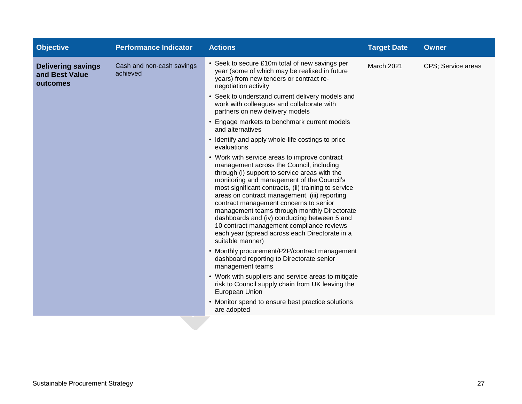| <b>Objective</b>                                        | <b>Performance Indicator</b>          | <b>Actions</b>                                                                                                                                                                                                                                                                                                                                                                                                                                                                                                                                                 | <b>Target Date</b> | <b>Owner</b>       |
|---------------------------------------------------------|---------------------------------------|----------------------------------------------------------------------------------------------------------------------------------------------------------------------------------------------------------------------------------------------------------------------------------------------------------------------------------------------------------------------------------------------------------------------------------------------------------------------------------------------------------------------------------------------------------------|--------------------|--------------------|
| <b>Delivering savings</b><br>and Best Value<br>outcomes | Cash and non-cash savings<br>achieved | • Seek to secure £10m total of new savings per<br>year (some of which may be realised in future<br>years) from new tenders or contract re-<br>negotiation activity                                                                                                                                                                                                                                                                                                                                                                                             | March 2021         | CPS; Service areas |
|                                                         |                                       | • Seek to understand current delivery models and<br>work with colleagues and collaborate with<br>partners on new delivery models                                                                                                                                                                                                                                                                                                                                                                                                                               |                    |                    |
|                                                         |                                       | • Engage markets to benchmark current models<br>and alternatives                                                                                                                                                                                                                                                                                                                                                                                                                                                                                               |                    |                    |
|                                                         |                                       | • Identify and apply whole-life costings to price<br>evaluations                                                                                                                                                                                                                                                                                                                                                                                                                                                                                               |                    |                    |
|                                                         |                                       | • Work with service areas to improve contract<br>management across the Council, including<br>through (i) support to service areas with the<br>monitoring and management of the Council's<br>most significant contracts, (ii) training to service<br>areas on contract management, (iii) reporting<br>contract management concerns to senior<br>management teams through monthly Directorate<br>dashboards and (iv) conducting between 5 and<br>10 contract management compliance reviews<br>each year (spread across each Directorate in a<br>suitable manner) |                    |                    |
|                                                         |                                       | • Monthly procurement/P2P/contract management<br>dashboard reporting to Directorate senior<br>management teams                                                                                                                                                                                                                                                                                                                                                                                                                                                 |                    |                    |
|                                                         |                                       | • Work with suppliers and service areas to mitigate<br>risk to Council supply chain from UK leaving the<br>European Union                                                                                                                                                                                                                                                                                                                                                                                                                                      |                    |                    |
|                                                         |                                       | • Monitor spend to ensure best practice solutions<br>are adopted                                                                                                                                                                                                                                                                                                                                                                                                                                                                                               |                    |                    |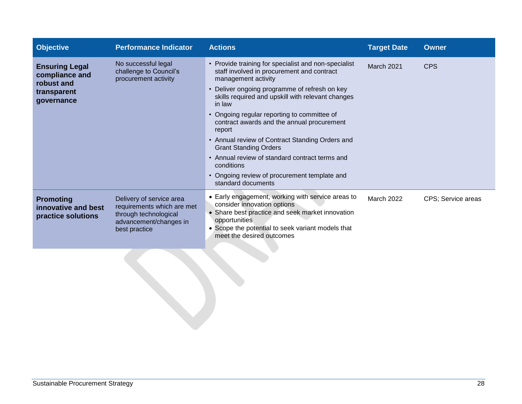| <b>Objective</b>                                                                   | <b>Performance Indicator</b>                                                                                               | <b>Actions</b>                                                                                                                                                                                                                                                                                                                                                                                                                                                                                                                                                            | <b>Target Date</b> | <b>Owner</b>       |
|------------------------------------------------------------------------------------|----------------------------------------------------------------------------------------------------------------------------|---------------------------------------------------------------------------------------------------------------------------------------------------------------------------------------------------------------------------------------------------------------------------------------------------------------------------------------------------------------------------------------------------------------------------------------------------------------------------------------------------------------------------------------------------------------------------|--------------------|--------------------|
| <b>Ensuring Legal</b><br>compliance and<br>robust and<br>transparent<br>governance | No successful legal<br>challenge to Council's<br>procurement activity                                                      | • Provide training for specialist and non-specialist<br>staff involved in procurement and contract<br>management activity<br>• Deliver ongoing programme of refresh on key<br>skills required and upskill with relevant changes<br>in law<br>• Ongoing regular reporting to committee of<br>contract awards and the annual procurement<br>report<br>• Annual review of Contract Standing Orders and<br><b>Grant Standing Orders</b><br>• Annual review of standard contract terms and<br>conditions<br>• Ongoing review of procurement template and<br>standard documents | <b>March 2021</b>  | <b>CPS</b>         |
| <b>Promoting</b><br>innovative and best<br>practice solutions                      | Delivery of service area<br>requirements which are met<br>through technological<br>advancement/changes in<br>best practice | • Early engagement, working with service areas to<br>consider innovation options<br>• Share best practice and seek market innovation<br>opportunities<br>• Scope the potential to seek variant models that<br>meet the desired outcomes                                                                                                                                                                                                                                                                                                                                   | <b>March 2022</b>  | CPS; Service areas |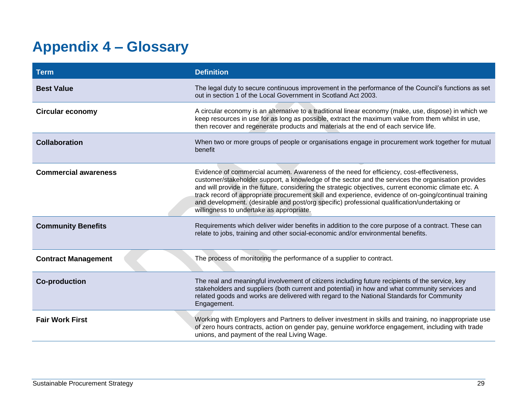# <span id="page-35-0"></span>**Appendix 4 – Glossary**

| <b>Term</b>                 | <b>Definition</b>                                                                                                                                                                                                                                                                                                                                                                                                                                                                                                                                            |
|-----------------------------|--------------------------------------------------------------------------------------------------------------------------------------------------------------------------------------------------------------------------------------------------------------------------------------------------------------------------------------------------------------------------------------------------------------------------------------------------------------------------------------------------------------------------------------------------------------|
| <b>Best Value</b>           | The legal duty to secure continuous improvement in the performance of the Council's functions as set<br>out in section 1 of the Local Government in Scotland Act 2003.                                                                                                                                                                                                                                                                                                                                                                                       |
| <b>Circular economy</b>     | A circular economy is an alternative to a traditional linear economy (make, use, dispose) in which we<br>keep resources in use for as long as possible, extract the maximum value from them whilst in use,<br>then recover and regenerate products and materials at the end of each service life.                                                                                                                                                                                                                                                            |
| Collaboration               | When two or more groups of people or organisations engage in procurement work together for mutual<br>benefit                                                                                                                                                                                                                                                                                                                                                                                                                                                 |
| <b>Commercial awareness</b> | Evidence of commercial acumen. Awareness of the need for efficiency, cost-effectiveness,<br>customer/stakeholder support, a knowledge of the sector and the services the organisation provides<br>and will provide in the future, considering the strategic objectives, current economic climate etc. A<br>track record of appropriate procurement skill and experience, evidence of on-going/continual training<br>and development. (desirable and post/org specific) professional qualification/undertaking or<br>willingness to undertake as appropriate. |
| <b>Community Benefits</b>   | Requirements which deliver wider benefits in addition to the core purpose of a contract. These can<br>relate to jobs, training and other social-economic and/or environmental benefits.                                                                                                                                                                                                                                                                                                                                                                      |
| <b>Contract Management</b>  | The process of monitoring the performance of a supplier to contract.                                                                                                                                                                                                                                                                                                                                                                                                                                                                                         |
| <b>Co-production</b>        | The real and meaningful involvement of citizens including future recipients of the service, key<br>stakeholders and suppliers (both current and potential) in how and what community services and<br>related goods and works are delivered with regard to the National Standards for Community<br>Engagement.                                                                                                                                                                                                                                                |
| <b>Fair Work First</b>      | Working with Employers and Partners to deliver investment in skills and training, no inappropriate use<br>of zero hours contracts, action on gender pay, genuine workforce engagement, including with trade<br>unions, and payment of the real Living Wage.                                                                                                                                                                                                                                                                                                  |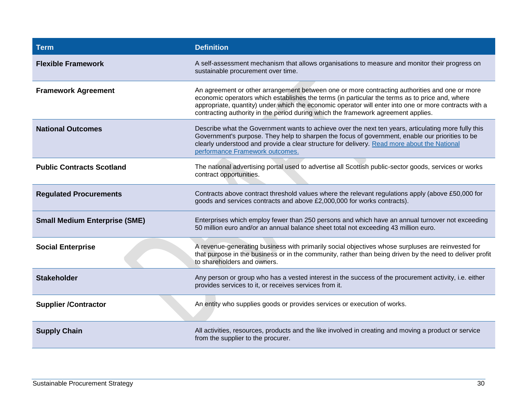| <b>Term</b>                          | <b>Definition</b>                                                                                                                                                                                                                                                                                                                                                                             |
|--------------------------------------|-----------------------------------------------------------------------------------------------------------------------------------------------------------------------------------------------------------------------------------------------------------------------------------------------------------------------------------------------------------------------------------------------|
| <b>Flexible Framework</b>            | A self-assessment mechanism that allows organisations to measure and monitor their progress on<br>sustainable procurement over time.                                                                                                                                                                                                                                                          |
| <b>Framework Agreement</b>           | An agreement or other arrangement between one or more contracting authorities and one or more<br>economic operators which establishes the terms (in particular the terms as to price and, where<br>appropriate, quantity) under which the economic operator will enter into one or more contracts with a<br>contracting authority in the period during which the framework agreement applies. |
| <b>National Outcomes</b>             | Describe what the Government wants to achieve over the next ten years, articulating more fully this<br>Government's purpose. They help to sharpen the focus of government, enable our priorities to be<br>clearly understood and provide a clear structure for delivery. Read more about the National<br>performance Framework outcomes.                                                      |
| <b>Public Contracts Scotland</b>     | The national advertising portal used to advertise all Scottish public-sector goods, services or works<br>contract opportunities.                                                                                                                                                                                                                                                              |
| <b>Regulated Procurements</b>        | Contracts above contract threshold values where the relevant regulations apply (above £50,000 for<br>goods and services contracts and above £2,000,000 for works contracts).                                                                                                                                                                                                                  |
| <b>Small Medium Enterprise (SME)</b> | Enterprises which employ fewer than 250 persons and which have an annual turnover not exceeding<br>50 million euro and/or an annual balance sheet total not exceeding 43 million euro.                                                                                                                                                                                                        |
| <b>Social Enterprise</b>             | A revenue-generating business with primarily social objectives whose surpluses are reinvested for<br>that purpose in the business or in the community, rather than being driven by the need to deliver profit<br>to shareholders and owners.                                                                                                                                                  |
| <b>Stakeholder</b>                   | Any person or group who has a vested interest in the success of the procurement activity, i.e. either<br>provides services to it, or receives services from it.                                                                                                                                                                                                                               |
| <b>Supplier /Contractor</b>          | An entity who supplies goods or provides services or execution of works.                                                                                                                                                                                                                                                                                                                      |
| <b>Supply Chain</b>                  | All activities, resources, products and the like involved in creating and moving a product or service<br>from the supplier to the procurer.                                                                                                                                                                                                                                                   |